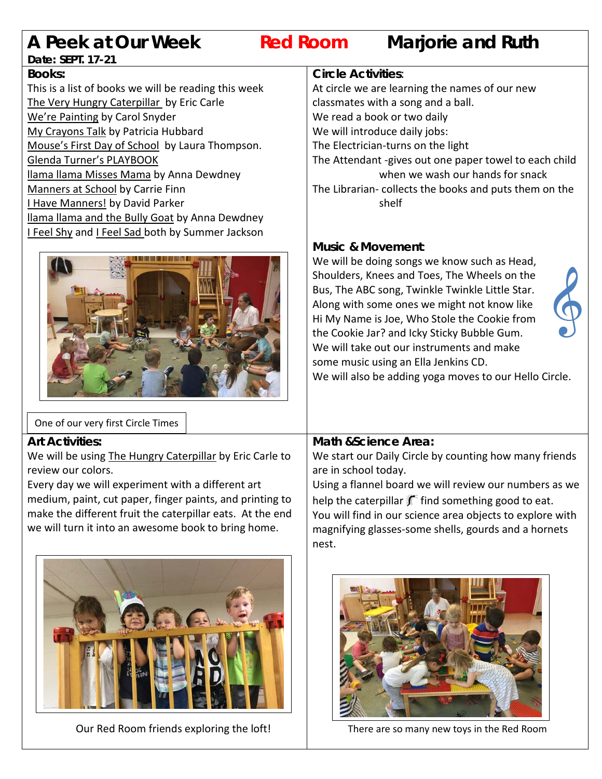# **A Peek at Our Week Red Room Marjorie and Ruth**

# **Date: SEPT. 17-21**

**Books:**  This is a list of books we will be reading this week The Very Hungry Caterpillar by Eric Carle We're Painting by Carol Snyder My Crayons Talk by Patricia Hubbard Mouse's First Day of School by Laura Thompson. Glenda Turner's PLAYBOOK llama llama Misses Mama by Anna Dewdney Manners at School by Carrie Finn I Have Manners! by David Parker llama llama and the Bully Goat by Anna Dewdney I Feel Shy and I Feel Sad both by Summer Jackson



# One of our very first Circle Times

### **Art Activities:**

We will be using The Hungry Caterpillar by Eric Carle to review our colors.

Every day we will experiment with a different art medium, paint, cut paper, finger paints, and printing to make the different fruit the caterpillar eats. At the end we will turn it into an awesome book to bring home.



Our Red Room friends exploring the loft!

### **Circle Activities**:

At circle we are learning the names of our new classmates with a song and a ball. We read a book or two daily We will introduce daily jobs: The Electrician-turns on the light The Attendant -gives out one paper towel to each child when we wash our hands for snack The Librarian- collects the books and puts them on the shelf

# **Music & Movement**:

We will be doing songs we know such as Head, Shoulders, Knees and Toes, The Wheels on the Bus, The ABC song, Twinkle Twinkle Little Star. Along with some ones we might not know like Hi My Name is Joe, Who Stole the Cookie from the Cookie Jar? and Icky Sticky Bubble Gum. We will take out our instruments and make some music using an Ella Jenkins CD.



We will also be adding yoga moves to our Hello Circle.

# **Math &Science Area:**

We start our Daily Circle by counting how many friends are in school today.

Using a flannel board we will review our numbers as we help the caterpillar  $\frac{1}{2}$  find something good to eat. You will find in our science area objects to explore with magnifying glasses-some shells, gourds and a hornets nest.



There are so many new toys in the Red Room